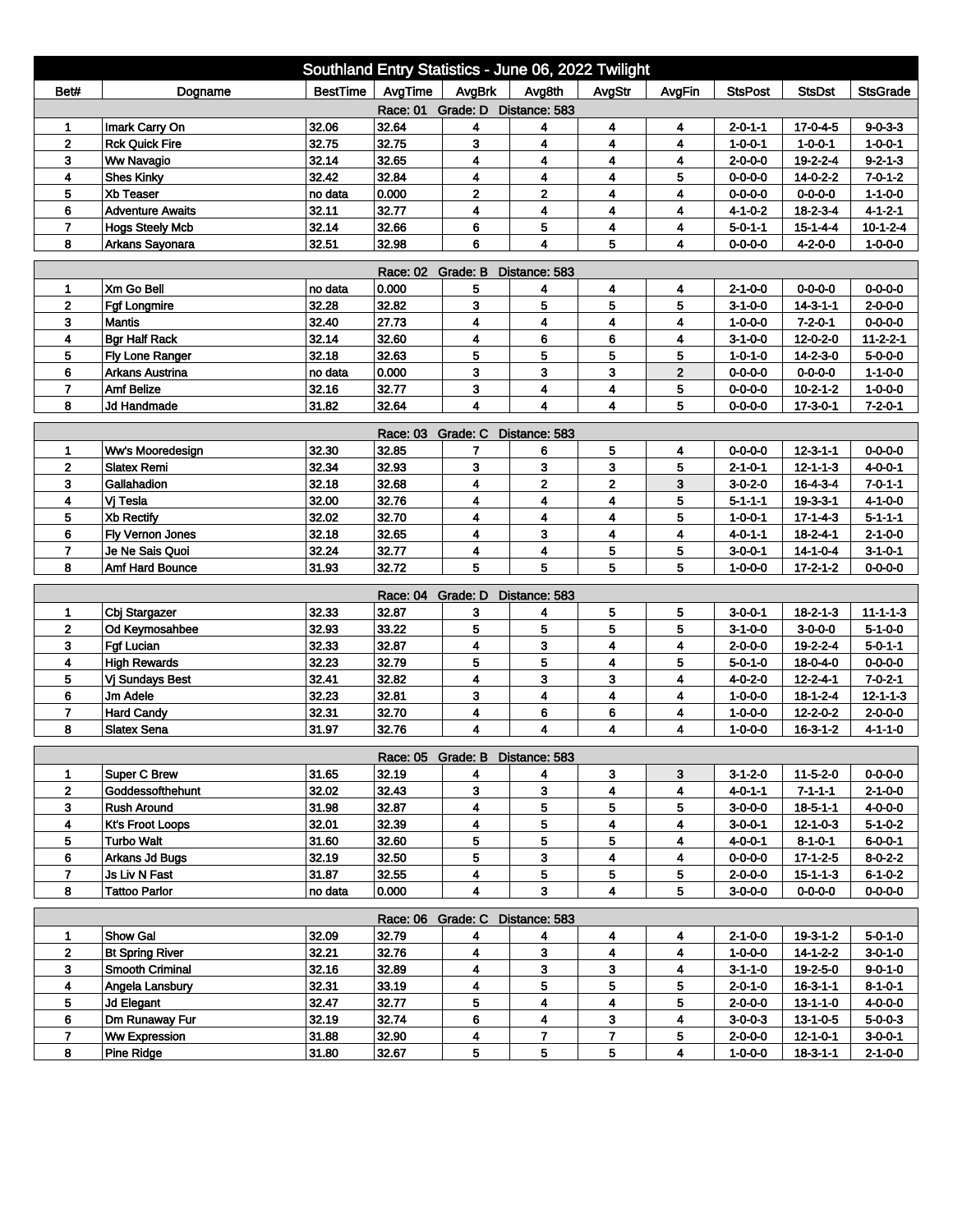| Southland Entry Statistics - June 06, 2022 Twilight                                                                 |                                      |                 |                   |                                      |                         |                         |             |                                    |                                      |                              |  |
|---------------------------------------------------------------------------------------------------------------------|--------------------------------------|-----------------|-------------------|--------------------------------------|-------------------------|-------------------------|-------------|------------------------------------|--------------------------------------|------------------------------|--|
| Bet#                                                                                                                | Dogname                              | <b>BestTime</b> | AvgTime           | AvgBrk                               | Avg8th                  | AvgStr                  | AvgFin      | <b>StsPost</b>                     | <b>StsDst</b>                        | <b>StsGrade</b>              |  |
| Race: 01 Grade: D Distance: 583                                                                                     |                                      |                 |                   |                                      |                         |                         |             |                                    |                                      |                              |  |
| 1                                                                                                                   | Imark Carry On                       | 32.06           | 32.64             | 4                                    | 4                       | 4                       | 4           | 2-0-1-1                            | 17-0-4-5                             | $9 - 0 - 3 - 3$              |  |
| $\mathbf 2$                                                                                                         | <b>Rck Quick Fire</b>                | 32.75           | 32.75             | 3                                    | 4                       | 4                       | 4           | $1 - 0 - 0 - 1$                    | $1 - 0 - 0 - 1$                      | $1 - 0 - 0 - 1$              |  |
| 3                                                                                                                   | <b>Ww Navagio</b>                    | 32.14           | 32.65             | 4                                    | 4                       | 4                       | 4           | $2 - 0 - 0 - 0$                    | 19-2-2-4                             | $9 - 2 - 1 - 3$              |  |
| 4                                                                                                                   | <b>Shes Kinky</b>                    | 32.42           | 32.84             | 4                                    | 4                       | 4                       | 5           | $0 - 0 - 0 - 0$                    | $14 - 0 - 2 - 2$                     | $7 - 0 - 1 - 2$              |  |
| 5                                                                                                                   | <b>Xb Teaser</b>                     | no data         | 0.000             | $\overline{2}$                       | $\overline{2}$          | 4                       | 4           | $0 - 0 - 0 - 0$                    | $0 - 0 - 0 - 0$                      | $1 - 1 - 0 - 0$              |  |
| 6                                                                                                                   | <b>Adventure Awaits</b>              | 32.11           | 32.77             | 4                                    | 4                       | $\overline{\mathbf{4}}$ | 4           | $4 - 1 - 0 - 2$                    | $18 - 2 - 3 - 4$                     | $4 - 1 - 2 - 1$              |  |
| $\overline{7}$                                                                                                      | <b>Hogs Steely Mcb</b>               | 32.14           | 32.66             | 6                                    | 5                       | 4                       | 4           | $5 - 0 - 1 - 1$                    | $15 - 1 - 4 - 4$                     | $10 - 1 - 2 - 4$             |  |
| 8<br>Arkans Sayonara<br>32.51<br>32.98<br>6<br>4<br>5<br>$0 - 0 - 0 - 0$<br>$4 - 2 - 0 - 0$<br>$1 - 0 - 0 - 0$<br>4 |                                      |                 |                   |                                      |                         |                         |             |                                    |                                      |                              |  |
| Race: 02 Grade: B<br>Distance: 583                                                                                  |                                      |                 |                   |                                      |                         |                         |             |                                    |                                      |                              |  |
| 1                                                                                                                   | Xm Go Bell                           | no data         | 0.000             | 5                                    | 4                       | 4                       | 4           | 2-1-0-0                            | $0 - 0 - 0 - 0$                      | $0 - 0 - 0 - 0$              |  |
| $\mathbf{2}$                                                                                                        | <b>Fgf Longmire</b>                  | 32.28           | 32.82             | 3                                    | 5                       | 5                       | 5           | $3 - 1 - 0 - 0$                    | $14 - 3 - 1 - 1$                     | $2 - 0 - 0 - 0$              |  |
| 3                                                                                                                   | <b>Mantis</b>                        | 32.40           | 27.73             | 4                                    | 4                       | 4                       | 4           | $1 - 0 - 0 - 0$                    | $7 - 2 - 0 - 1$                      | $0 - 0 - 0 - 0$              |  |
| 4                                                                                                                   | <b>Bgr Half Rack</b>                 | 32.14           | 32.60             | 4                                    | 6                       | 6                       | 4           | $3-1-0-0$                          | $12 - 0 - 2 - 0$                     | $11 - 2 - 2 - 1$             |  |
| 5                                                                                                                   | Fly Lone Ranger                      | 32.18           | 32.63             | 5                                    | 5                       | 5                       | 5           | $1 - 0 - 1 - 0$                    | 14-2-3-0                             | $5 - 0 - 0 - 0$              |  |
| 6                                                                                                                   | <b>Arkans Austrina</b>               | no data         | 0.000             | 3                                    | 3                       | 3                       | $\mathbf 2$ | $0 - 0 - 0 - 0$                    | $0 - 0 - 0 - 0$                      | $1 - 1 - 0 - 0$              |  |
| $\overline{7}$                                                                                                      | <b>Amf Belize</b>                    | 32.16           | 32.77             | 3                                    | 4                       | 4                       | 5           | $0 - 0 - 0 - 0$                    | $10 - 2 - 1 - 2$                     | $1 - 0 - 0 - 0$              |  |
| 8                                                                                                                   | Jd Handmade                          | 31.82           | 32.64             | 4                                    | 4                       | 4                       | 5           | $0 - 0 - 0 - 0$                    | $17 - 3 - 0 - 1$                     | $7 - 2 - 0 - 1$              |  |
| Race: 03 Grade: C<br>Distance: 583                                                                                  |                                      |                 |                   |                                      |                         |                         |             |                                    |                                      |                              |  |
| 1                                                                                                                   | Ww's Mooredesign                     | 32.30           | 32.85             | 7                                    | 6                       | 5                       | 4           | $0 - 0 - 0 - 0$                    | $12 - 3 - 1 - 1$                     | $0 - 0 - 0 - 0$              |  |
| $\mathbf 2$                                                                                                         | <b>Slatex Remi</b>                   | 32.34           | 32.93             | 3                                    | 3                       | 3                       | 5           | $2 - 1 - 0 - 1$                    | $12 - 1 - 1 - 3$                     | 4-0-0-1                      |  |
| 3                                                                                                                   | Gallahadion                          | 32.18           | 32.68             | 4                                    | $\overline{\mathbf{2}}$ | $\mathbf{z}$            | 3           | $3 - 0 - 2 - 0$                    | $16 - 4 - 3 - 4$                     | $7 - 0 - 1 - 1$              |  |
| 4                                                                                                                   | Vj Tesla                             | 32.00           | 32.76             | 4                                    | 4                       | 4                       | 5           | $5 - 1 - 1 - 1$                    | $19 - 3 - 3 - 1$                     | $4 - 1 - 0 - 0$              |  |
| 5                                                                                                                   | <b>Xb Rectify</b>                    | 32.02           | 32.70             | 4                                    | 4                       | 4                       | 5           | $1 - 0 - 0 - 1$                    | $17 - 1 - 4 - 3$                     | $5 - 1 - 1 - 1$              |  |
| 6                                                                                                                   | Fly Vernon Jones                     | 32.18           | 32.65             | 4                                    | 3                       | 4                       | 4           | $4 - 0 - 1 - 1$                    | $18 - 2 - 4 - 1$                     | $2 - 1 - 0 - 0$              |  |
| 7                                                                                                                   | Je Ne Sais Quoi                      | 32.24           | 32.77             | 4                                    | 4                       | 5                       | 5           | $3 - 0 - 0 - 1$                    | $14 - 1 - 0 - 4$                     | $3 - 1 - 0 - 1$              |  |
| 8                                                                                                                   | Amf Hard Bounce                      | 31.93           | 32.72             | 5                                    | 5                       | 5                       | 5           | $1 - 0 - 0 - 0$                    | $17 - 2 - 1 - 2$                     | $0 - 0 - 0 - 0$              |  |
|                                                                                                                     |                                      |                 | Race: 04 Grade: D |                                      | Distance: 583           |                         |             |                                    |                                      |                              |  |
| 1                                                                                                                   | Cbj Stargazer                        | 32.33           | 32.87             | 3                                    | 4                       | 5                       | 5           | $3 - 0 - 0 - 1$                    | $18 - 2 - 1 - 3$                     | $11 - 1 - 1 - 3$             |  |
| $\mathbf 2$                                                                                                         | Od Keymosahbee                       | 32.93           | 33.22             | 5                                    | 5                       | 5                       | 5           | $3 - 1 - 0 - 0$                    | $3 - 0 - 0 - 0$                      | $5 - 1 - 0 - 0$              |  |
| 3                                                                                                                   | <b>Fgf Lucian</b>                    | 32.33           | 32.87             | 4                                    | 3                       | 4                       | 4           | $2 - 0 - 0 - 0$                    | 19-2-2-4                             | $5 - 0 - 1 - 1$              |  |
| 4                                                                                                                   | <b>High Rewards</b>                  | 32.23           | 32.79             | 5                                    | 5                       | 4                       | 5           | $5 - 0 - 1 - 0$                    | 18-0-4-0                             | $0 - 0 - 0 - 0$              |  |
| 5                                                                                                                   | Vj Sundays Best                      | 32.41           | 32.82             | 4                                    | 3                       | 3                       | 4           | 4-0-2-0                            | $12 - 2 - 4 - 1$                     | $7 - 0 - 2 - 1$              |  |
| 6                                                                                                                   | Jm Adele                             | 32.23           | 32.81             | 3                                    | 4                       | 4                       | 4           | $1 - 0 - 0 - 0$                    | $18 - 1 - 2 - 4$                     | $12 - 1 - 1 - 3$             |  |
| $\overline{7}$                                                                                                      | <b>Hard Candy</b>                    | 32.31           | 32.70             | 4                                    | 6                       | 6                       | 4           | $1 - 0 - 0 - 0$                    | 12-2-0-2                             | $2 - 0 - 0 - 0$              |  |
| 8                                                                                                                   | <b>Slatex Sena</b>                   | 31.97           | 32.76             | 4                                    | 4                       | 4                       | 4           | $1 - 0 - 0 - 0$                    | $16-3-1-2$                           | $4 - 1 - 1 - 0$              |  |
|                                                                                                                     |                                      |                 |                   |                                      |                         |                         |             |                                    |                                      |                              |  |
|                                                                                                                     | <b>Super C Brew</b>                  | 31.65           | 32.19             | Race: 05 Grade: B Distance: 583<br>4 | 4                       | 3                       | 3           | $3-1-2-0$                          | 11-5-2-0                             | $0 - 0 - 0 - 0$              |  |
| $\mathbf{2}$                                                                                                        | Goddessofthehunt                     | 32.02           | 32.43             | 3                                    | 3                       | 4                       | 4           | 4-0-1-1                            | $7 - 1 - 1 - 1$                      | $2 - 1 - 0 - 0$              |  |
| 3                                                                                                                   | <b>Rush Around</b>                   | 31.98           | 32.87             | 4                                    | 5                       | 5                       | 5           | $3 - 0 - 0 - 0$                    | $18 - 5 - 1 - 1$                     | 4-0-0-0                      |  |
| 4                                                                                                                   | <b>Kt's Froot Loops</b>              | 32.01           | 32.39             | 4                                    | 5                       | 4                       | 4           | $3-0-0-1$                          | $12 - 1 - 0 - 3$                     | $5 - 1 - 0 - 2$              |  |
| 5                                                                                                                   | <b>Turbo Walt</b>                    | 31.60           | 32.60             | 5                                    | 5                       | 5                       | 4           | $4 - 0 - 0 - 1$                    | $8 - 1 - 0 - 1$                      | $6 - 0 - 0 - 1$              |  |
| 6                                                                                                                   | <b>Arkans Jd Bugs</b>                | 32.19           | 32.50             | 5                                    | 3                       | 4                       | 4           | $0 - 0 - 0 - 0$                    | $17 - 1 - 2 - 5$                     | $8 - 0 - 2 - 2$              |  |
| $\overline{7}$                                                                                                      | Js Liv N Fast                        | 31.87           | 32.55             | 4                                    | 5                       | 5                       | 5           | $2 - 0 - 0 - 0$                    | $15 - 1 - 1 - 3$                     | $6 - 1 - 0 - 2$              |  |
| 8                                                                                                                   | <b>Tattoo Parlor</b>                 | no data         | 0.000             | 4                                    | 3                       | 4                       | 5           | $3 - 0 - 0 - 0$                    | $0 - 0 - 0 - 0$                      | $0 - 0 - 0 - 0$              |  |
|                                                                                                                     |                                      |                 |                   |                                      |                         |                         |             |                                    |                                      |                              |  |
| Race: 06 Grade: C Distance: 583                                                                                     |                                      |                 |                   |                                      |                         |                         |             |                                    |                                      |                              |  |
| 1                                                                                                                   | Show Gal                             | 32.09<br>32.21  | 32.79<br>32.76    | 4                                    | 4                       | 4                       | 4           | $2 - 1 - 0 - 0$                    | 19-3-1-2                             | $5 - 0 - 1 - 0$<br>$3-0-1-0$ |  |
| $\mathbf{2}$<br>3 <sup>2</sup>                                                                                      | <b>Bt Spring River</b>               | 32.16           |                   | 4<br>4                               | 3                       | 4<br>3                  | 4           | $1 - 0 - 0 - 0$                    | $14 - 1 - 2 - 2$                     |                              |  |
|                                                                                                                     | <b>Smooth Criminal</b>               | 32.31           | 32.89             | 4                                    | 3<br>5                  | 5                       | 4<br>5      | $3 - 1 - 1 - 0$                    | 19-2-5-0                             | $9 - 0 - 1 - 0$              |  |
| 4<br>5                                                                                                              | Angela Lansbury<br><b>Jd Elegant</b> | 32.47           | 33.19<br>32.77    | 5                                    | 4                       | 4                       | 5           | $2 - 0 - 1 - 0$<br>$2 - 0 - 0 - 0$ | $16 - 3 - 1 - 1$                     | $8 - 1 - 0 - 1$<br>4-0-0-0   |  |
| 6                                                                                                                   | Dm Runaway Fur                       | 32.19           | 32.74             | 6                                    | 4                       | 3 <sup>1</sup>          | 4           | $3 - 0 - 0 - 3$                    | $13 - 1 - 1 - 0$<br>$13 - 1 - 0 - 5$ | $5 - 0 - 0 - 3$              |  |
| 7                                                                                                                   | <b>Ww Expression</b>                 | 31.88           | 32.90             |                                      | $\mathbf{7}$            | 7                       |             | $2 - 0 - 0 - 0$                    | $12 - 1 - 0 - 1$                     | $3 - 0 - 0 - 1$              |  |
| 8                                                                                                                   |                                      | 31.80           |                   | 4<br>5                               | 5                       | 5                       | 5<br>4      |                                    |                                      |                              |  |
|                                                                                                                     | <b>Pine Ridge</b>                    |                 | 32.67             |                                      |                         |                         |             | $1 - 0 - 0 - 0$                    | $18 - 3 - 1 - 1$                     | $2 - 1 - 0 - 0$              |  |